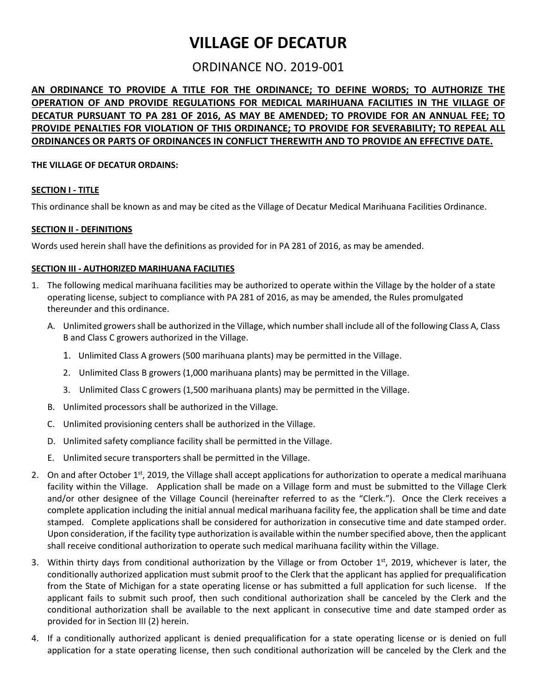# **VILLAGE OF DECATUR**

# ORDINANCE NO. 2019-001

**AN ORDINANCE TO PROVIDE A TITLE FOR THE ORDINANCE; TO DEFINE WORDS; TO AUTHORIZE THE OPERATION OF AND PROVIDE REGULATIONS FOR MEDICAL MARIHUANA FACILITIES IN THE VILLAGE OF DECATUR PURSUANT TO PA 281 OF 2016, AS MAY BE AMENDED; TO PROVIDE FOR AN ANNUAL FEE; TO PROVIDE PENALTIES FOR VIOLATION OF THIS ORDINANCE; TO PROVIDE FOR SEVERABILITY; TO REPEAL ALL ORDINANCES OR PARTS OF ORDINANCES IN CONFLICT THEREWITH AND TO PROVIDE AN EFFECTIVE DATE.** 

# **THE VILLAGE OF DECATUR ORDAINS:**

# **SECTION I - TITLE**

This ordinance shall be known as and may be cited as the Village of Decatur Medical Marihuana Facilities Ordinance.

# **SECTION II - DEFINITIONS**

Words used herein shall have the definitions as provided for in PA 281 of 2016, as may be amended.

#### **SECTION III - AUTHORIZED MARIHUANA FACILITIES**

- 1. The following medical marihuana facilities may be authorized to operate within the Village by the holder of a state operating license, subject to compliance with PA 281 of 2016, as may be amended, the Rules promulgated thereunder and this ordinance.
	- A. Unlimited growers shall be authorized in the Village, which number shall include all of the following Class A, Class B and Class C growers authorized in the Village.
		- 1. Unlimited Class A growers (500 marihuana plants) may be permitted in the Village.
		- 2. Unlimited Class B growers (1,000 marihuana plants) may be permitted in the Village.
		- 3. Unlimited Class C growers (1,500 marihuana plants) may be permitted in the Village.
	- B. Unlimited processors shall be authorized in the Village.
	- C. Unlimited provisioning centers shall be authorized in the Village.
	- D. Unlimited safety compliance facility shall be permitted in the Village.
	- E. Unlimited secure transporters shall be permitted in the Village.
- 2. On and after October  $1^{st}$ , 2019, the Village shall accept applications for authorization to operate a medical marihuana facility within the Village. Application shall be made on a Village form and must be submitted to the Village Clerk and/or other designee of the Village Council (hereinafter referred to as the "Clerk."). Once the Clerk receives a complete application including the initial annual medical marihuana facility fee, the application shall be time and date stamped. Complete applications shall be considered for authorization in consecutive time and date stamped order. Upon consideration, if the facility type authorization is available within the number specified above, then the applicant shall receive conditional authorization to operate such medical marihuana facility within the Village.
- 3. Within thirty days from conditional authorization by the Village or from October  $1<sup>st</sup>$ , 2019, whichever is later, the conditionally authorized application must submit proof to the Clerk that the applicant has applied for prequalification from the State of Michigan for a state operating license or has submitted a full application for such license. If the applicant fails to submit such proof, then such conditional authorization shall be canceled by the Clerk and the conditional authorization shall be available to the next applicant in consecutive time and date stamped order as provided for in Section III (2) herein.
- 4. If a conditionally authorized applicant is denied prequalification for a state operating license or is denied on full application for a state operating license, then such conditional authorization will be canceled by the Clerk and the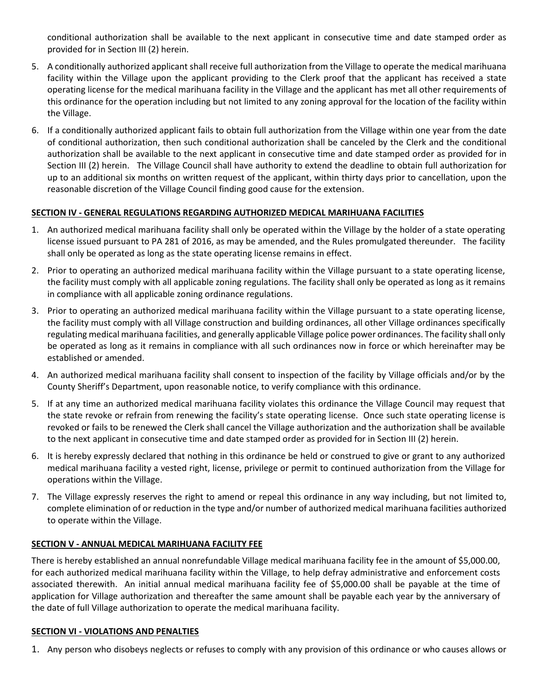conditional authorization shall be available to the next applicant in consecutive time and date stamped order as provided for in Section III (2) herein.

- 5. A conditionally authorized applicant shall receive full authorization from the Village to operate the medical marihuana facility within the Village upon the applicant providing to the Clerk proof that the applicant has received a state operating license for the medical marihuana facility in the Village and the applicant has met all other requirements of this ordinance for the operation including but not limited to any zoning approval for the location of the facility within the Village.
- 6. If a conditionally authorized applicant fails to obtain full authorization from the Village within one year from the date of conditional authorization, then such conditional authorization shall be canceled by the Clerk and the conditional authorization shall be available to the next applicant in consecutive time and date stamped order as provided for in Section III (2) herein. The Village Council shall have authority to extend the deadline to obtain full authorization for up to an additional six months on written request of the applicant, within thirty days prior to cancellation, upon the reasonable discretion of the Village Council finding good cause for the extension.

# **SECTION IV - GENERAL REGULATIONS REGARDING AUTHORIZED MEDICAL MARIHUANA FACILITIES**

- 1. An authorized medical marihuana facility shall only be operated within the Village by the holder of a state operating license issued pursuant to PA 281 of 2016, as may be amended, and the Rules promulgated thereunder. The facility shall only be operated as long as the state operating license remains in effect.
- 2. Prior to operating an authorized medical marihuana facility within the Village pursuant to a state operating license, the facility must comply with all applicable zoning regulations. The facility shall only be operated as long as it remains in compliance with all applicable zoning ordinance regulations.
- 3. Prior to operating an authorized medical marihuana facility within the Village pursuant to a state operating license, the facility must comply with all Village construction and building ordinances, all other Village ordinances specifically regulating medical marihuana facilities, and generally applicable Village police power ordinances. The facility shall only be operated as long as it remains in compliance with all such ordinances now in force or which hereinafter may be established or amended.
- 4. An authorized medical marihuana facility shall consent to inspection of the facility by Village officials and/or by the County Sheriff's Department, upon reasonable notice, to verify compliance with this ordinance.
- 5. If at any time an authorized medical marihuana facility violates this ordinance the Village Council may request that the state revoke or refrain from renewing the facility's state operating license. Once such state operating license is revoked or fails to be renewed the Clerk shall cancel the Village authorization and the authorization shall be available to the next applicant in consecutive time and date stamped order as provided for in Section III (2) herein.
- 6. It is hereby expressly declared that nothing in this ordinance be held or construed to give or grant to any authorized medical marihuana facility a vested right, license, privilege or permit to continued authorization from the Village for operations within the Village.
- 7. The Village expressly reserves the right to amend or repeal this ordinance in any way including, but not limited to, complete elimination of or reduction in the type and/or number of authorized medical marihuana facilities authorized to operate within the Village.

#### **SECTION V - ANNUAL MEDICAL MARIHUANA FACILITY FEE**

There is hereby established an annual nonrefundable Village medical marihuana facility fee in the amount of \$5,000.00, for each authorized medical marihuana facility within the Village, to help defray administrative and enforcement costs associated therewith. An initial annual medical marihuana facility fee of \$5,000.00 shall be payable at the time of application for Village authorization and thereafter the same amount shall be payable each year by the anniversary of the date of full Village authorization to operate the medical marihuana facility.

#### **SECTION VI - VIOLATIONS AND PENALTIES**

1. Any person who disobeys neglects or refuses to comply with any provision of this ordinance or who causes allows or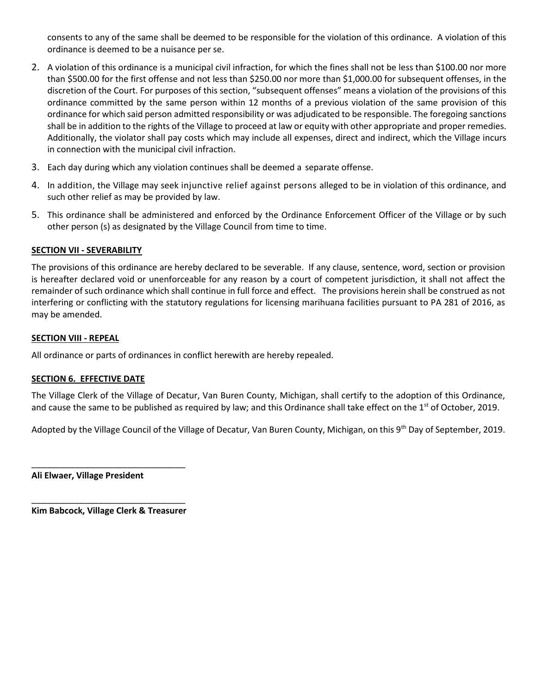consents to any of the same shall be deemed to be responsible for the violation of this ordinance. A violation of this ordinance is deemed to be a nuisance per se.

- 2. A violation of this ordinance is a municipal civil infraction, for which the fines shall not be less than \$100.00 nor more than \$500.00 for the first offense and not less than \$250.00 nor more than \$1,000.00 for subsequent offenses, in the discretion of the Court. For purposes of this section, "subsequent offenses" means a violation of the provisions of this ordinance committed by the same person within 12 months of a previous violation of the same provision of this ordinance for which said person admitted responsibility or was adjudicated to be responsible. The foregoing sanctions shall be in addition to the rights of the Village to proceed at law or equity with other appropriate and proper remedies. Additionally, the violator shall pay costs which may include all expenses, direct and indirect, which the Village incurs in connection with the municipal civil infraction.
- 3. Each day during which any violation continues shall be deemed a separate offense.
- 4. In addition, the Village may seek injunctive relief against persons alleged to be in violation of this ordinance, and such other relief as may be provided by law.
- 5. This ordinance shall be administered and enforced by the Ordinance Enforcement Officer of the Village or by such other person (s) as designated by the Village Council from time to time.

# **SECTION VII - SEVERABILITY**

The provisions of this ordinance are hereby declared to be severable. If any clause, sentence, word, section or provision is hereafter declared void or unenforceable for any reason by a court of competent jurisdiction, it shall not affect the remainder of such ordinance which shall continue in full force and effect. The provisions herein shall be construed as not interfering or conflicting with the statutory regulations for licensing marihuana facilities pursuant to PA 281 of 2016, as may be amended.

#### **SECTION VIII - REPEAL**

All ordinance or parts of ordinances in conflict herewith are hereby repealed.

# **SECTION 6. EFFECTIVE DATE**

The Village Clerk of the Village of Decatur, Van Buren County, Michigan, shall certify to the adoption of this Ordinance, and cause the same to be published as required by law; and this Ordinance shall take effect on the  $1<sup>st</sup>$  of October, 2019.

Adopted by the Village Council of the Village of Decatur, Van Buren County, Michigan, on this 9<sup>th</sup> Day of September, 2019.

**Ali Elwaer, Village President**

\_\_\_\_\_\_\_\_\_\_\_\_\_\_\_\_\_\_\_\_\_\_\_\_\_\_\_\_\_\_\_\_ **Kim Babcock, Village Clerk & Treasurer**

\_\_\_\_\_\_\_\_\_\_\_\_\_\_\_\_\_\_\_\_\_\_\_\_\_\_\_\_\_\_\_\_